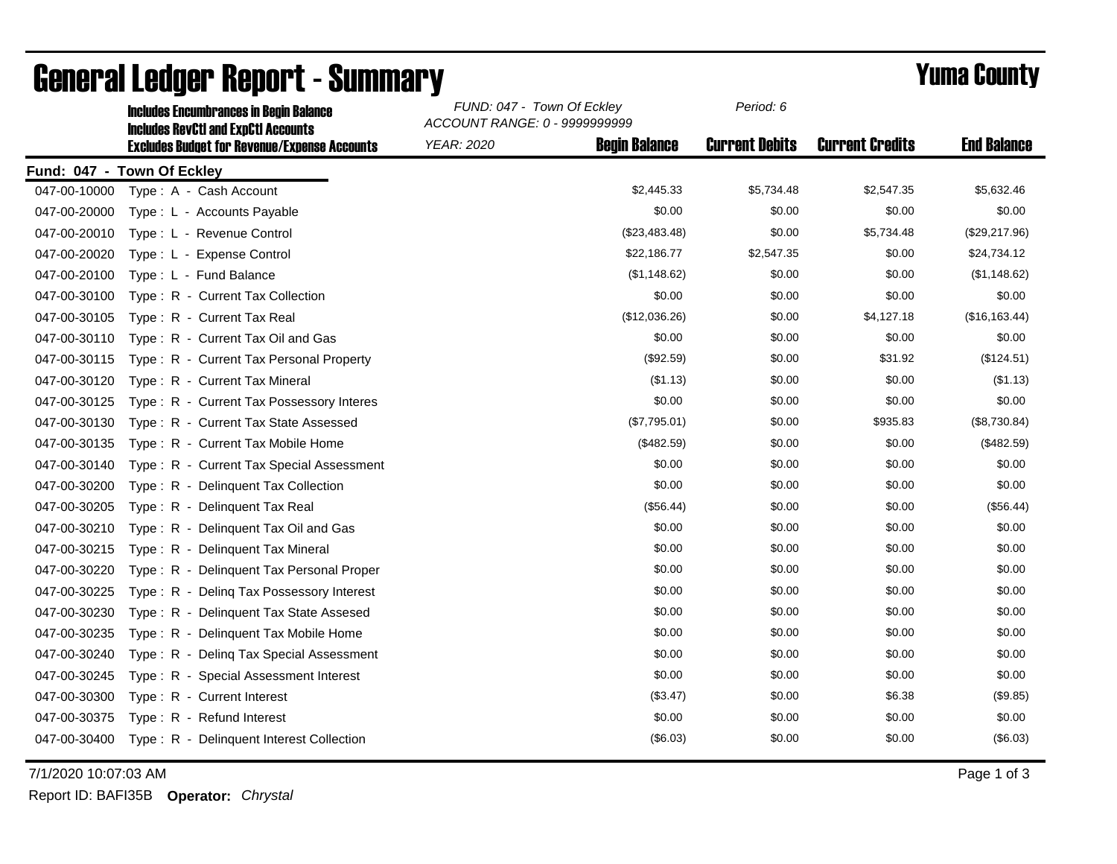|              | <b>Includes Encumbrances in Begin Balance</b><br><b>Includes RevCtI and ExpCtI Accounts</b><br><b>Excludes Budget for Revenue/Expense Accounts</b> | FUND: 047 - Town Of Eckley<br>ACCOUNT RANGE: 0 - 9999999999 |                      | Period: 6             |                        |                    |
|--------------|----------------------------------------------------------------------------------------------------------------------------------------------------|-------------------------------------------------------------|----------------------|-----------------------|------------------------|--------------------|
|              |                                                                                                                                                    | <b>YEAR: 2020</b>                                           | <b>Begin Balance</b> | <b>Current Debits</b> | <b>Current Credits</b> | <b>End Balance</b> |
|              | Fund: 047 - Town Of Eckley                                                                                                                         |                                                             |                      |                       |                        |                    |
| 047-00-10000 | Type: A - Cash Account                                                                                                                             |                                                             | \$2,445.33           | \$5,734.48            | \$2,547.35             | \$5,632.46         |
| 047-00-20000 | Type: L - Accounts Payable                                                                                                                         |                                                             | \$0.00               | \$0.00                | \$0.00                 | \$0.00             |
| 047-00-20010 | Type: L - Revenue Control                                                                                                                          |                                                             | (\$23,483.48)        | \$0.00                | \$5,734.48             | (\$29,217.96)      |
| 047-00-20020 | Type: L - Expense Control                                                                                                                          |                                                             | \$22,186.77          | \$2,547.35            | \$0.00                 | \$24,734.12        |
| 047-00-20100 | Type: L - Fund Balance                                                                                                                             |                                                             | (\$1,148.62)         | \$0.00                | \$0.00                 | (\$1,148.62)       |
| 047-00-30100 | Type: R - Current Tax Collection                                                                                                                   |                                                             | \$0.00               | \$0.00                | \$0.00                 | \$0.00             |
| 047-00-30105 | Type: R - Current Tax Real                                                                                                                         |                                                             | (\$12,036.26)        | \$0.00                | \$4,127.18             | (\$16, 163.44)     |
| 047-00-30110 | Type: R - Current Tax Oil and Gas                                                                                                                  |                                                             | \$0.00               | \$0.00                | \$0.00                 | \$0.00             |
| 047-00-30115 | Type: R - Current Tax Personal Property                                                                                                            |                                                             | (\$92.59)            | \$0.00                | \$31.92                | (\$124.51)         |
| 047-00-30120 | Type: R - Current Tax Mineral                                                                                                                      |                                                             | (\$1.13)             | \$0.00                | \$0.00                 | (\$1.13)           |
| 047-00-30125 | Type: R - Current Tax Possessory Interes                                                                                                           |                                                             | \$0.00               | \$0.00                | \$0.00                 | \$0.00             |
| 047-00-30130 | Type: R - Current Tax State Assessed                                                                                                               |                                                             | (\$7,795.01)         | \$0.00                | \$935.83               | (\$8,730.84)       |
| 047-00-30135 | Type: R - Current Tax Mobile Home                                                                                                                  |                                                             | (\$482.59)           | \$0.00                | \$0.00                 | (\$482.59)         |
| 047-00-30140 | Type: R - Current Tax Special Assessment                                                                                                           |                                                             | \$0.00               | \$0.00                | \$0.00                 | \$0.00             |
| 047-00-30200 | Type: R - Delinquent Tax Collection                                                                                                                |                                                             | \$0.00               | \$0.00                | \$0.00                 | \$0.00             |
| 047-00-30205 | Type: R - Delinguent Tax Real                                                                                                                      |                                                             | (\$56.44)            | \$0.00                | \$0.00                 | (\$56.44)          |
| 047-00-30210 | Type: R - Delinquent Tax Oil and Gas                                                                                                               |                                                             | \$0.00               | \$0.00                | \$0.00                 | \$0.00             |
| 047-00-30215 | Type: R - Delinquent Tax Mineral                                                                                                                   |                                                             | \$0.00               | \$0.00                | \$0.00                 | \$0.00             |
| 047-00-30220 | Type: R - Delinquent Tax Personal Proper                                                                                                           |                                                             | \$0.00               | \$0.00                | \$0.00                 | \$0.00             |
| 047-00-30225 | Type: R - Deling Tax Possessory Interest                                                                                                           |                                                             | \$0.00               | \$0.00                | \$0.00                 | \$0.00             |
| 047-00-30230 | Type: R - Delinquent Tax State Assesed                                                                                                             |                                                             | \$0.00               | \$0.00                | \$0.00                 | \$0.00             |
| 047-00-30235 | Type: R - Delinquent Tax Mobile Home                                                                                                               |                                                             | \$0.00               | \$0.00                | \$0.00                 | \$0.00             |
| 047-00-30240 | Type: R - Deling Tax Special Assessment                                                                                                            |                                                             | \$0.00               | \$0.00                | \$0.00                 | \$0.00             |
| 047-00-30245 | Type: R - Special Assessment Interest                                                                                                              |                                                             | \$0.00               | \$0.00                | \$0.00                 | \$0.00             |
| 047-00-30300 | Type: R - Current Interest                                                                                                                         |                                                             | (\$3.47)             | \$0.00                | \$6.38                 | (\$9.85)           |
| 047-00-30375 | Type: R - Refund Interest                                                                                                                          |                                                             | \$0.00               | \$0.00                | \$0.00                 | \$0.00             |
| 047-00-30400 | Type: R - Delinquent Interest Collection                                                                                                           |                                                             | (\$6.03)             | \$0.00                | \$0.00                 | (\$6.03)           |

## General Ledger Report - Summary **Example 2018** Yuma County

7/1/2020 10:07:03 AM Page 1 of 3

Report ID: BAFI35B **Operator:** *Chrystal*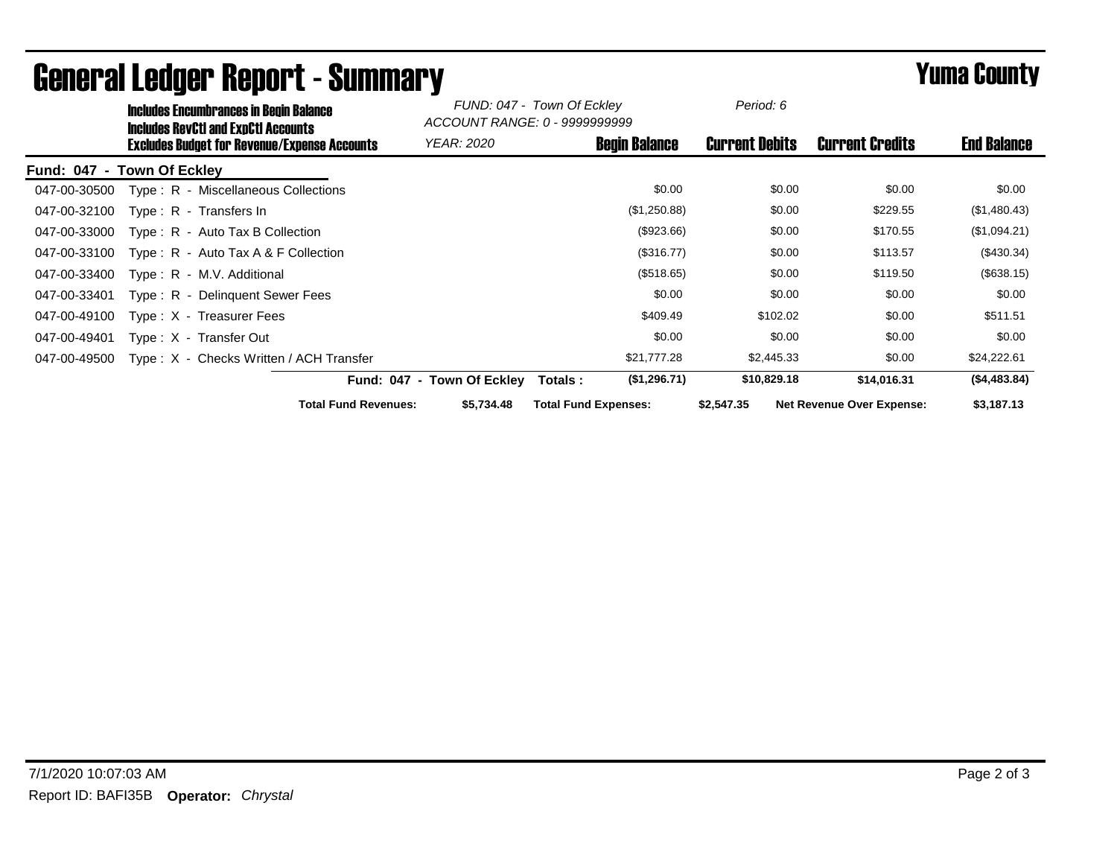|              | <b>Includes Encumbrances in Begin Balance</b><br><b>Includes RevCtI and ExpCtI Accounts</b><br><b>Excludes Budget for Revenue/Expense Accounts</b> |                             | FUND: 047 - Town Of Eckley<br>ACCOUNT RANGE: 0 - 9999999999 |          | Period: 6                   |                       |                                  |                    |
|--------------|----------------------------------------------------------------------------------------------------------------------------------------------------|-----------------------------|-------------------------------------------------------------|----------|-----------------------------|-----------------------|----------------------------------|--------------------|
|              |                                                                                                                                                    |                             | <b>YEAR: 2020</b>                                           |          | <b>Begin Balance</b>        | <b>Current Debits</b> | <b>Current Credits</b>           | <b>End Balance</b> |
|              | Fund: 047 - Town Of Eckley                                                                                                                         |                             |                                                             |          |                             |                       |                                  |                    |
| 047-00-30500 | Type: R - Miscellaneous Collections                                                                                                                |                             |                                                             |          | \$0.00                      | \$0.00                | \$0.00                           | \$0.00             |
| 047-00-32100 | Type: R - Transfers In                                                                                                                             |                             |                                                             |          | (\$1,250.88)                | \$0.00                | \$229.55                         | (\$1,480.43)       |
| 047-00-33000 | $Type: R - Auto Tax B Collection$                                                                                                                  |                             |                                                             |          | (\$923.66)                  | \$0.00                | \$170.55                         | (\$1,094.21)       |
| 047-00-33100 | Type: $R -$ Auto Tax A & F Collection                                                                                                              |                             |                                                             |          | (\$316.77)                  | \$0.00                | \$113.57                         | (\$430.34)         |
| 047-00-33400 | Type: R - M.V. Additional                                                                                                                          |                             |                                                             |          | (\$518.65)                  | \$0.00                | \$119.50                         | (\$638.15)         |
| 047-00-33401 | Type: R - Delinguent Sewer Fees                                                                                                                    |                             |                                                             |          | \$0.00                      | \$0.00                | \$0.00                           | \$0.00             |
| 047-00-49100 | Type: X - Treasurer Fees                                                                                                                           |                             |                                                             |          | \$409.49                    | \$102.02              | \$0.00                           | \$511.51           |
| 047-00-49401 | Type: X - Transfer Out                                                                                                                             |                             |                                                             |          | \$0.00                      | \$0.00                | \$0.00                           | \$0.00             |
| 047-00-49500 | Type: X - Checks Written / ACH Transfer                                                                                                            |                             |                                                             |          | \$21,777.28                 | \$2,445.33            | \$0.00                           | \$24,222.61        |
|              |                                                                                                                                                    |                             | Fund: 047 - Town Of Eckley                                  | Totals : | (\$1,296.71)                | \$10,829.18           | \$14,016.31                      | (\$4,483.84)       |
|              |                                                                                                                                                    | <b>Total Fund Revenues:</b> | \$5,734.48                                                  |          | <b>Total Fund Expenses:</b> | \$2,547.35            | <b>Net Revenue Over Expense:</b> | \$3,187.13         |

## General Ledger Report - Summary **Example 2018** Yuma County